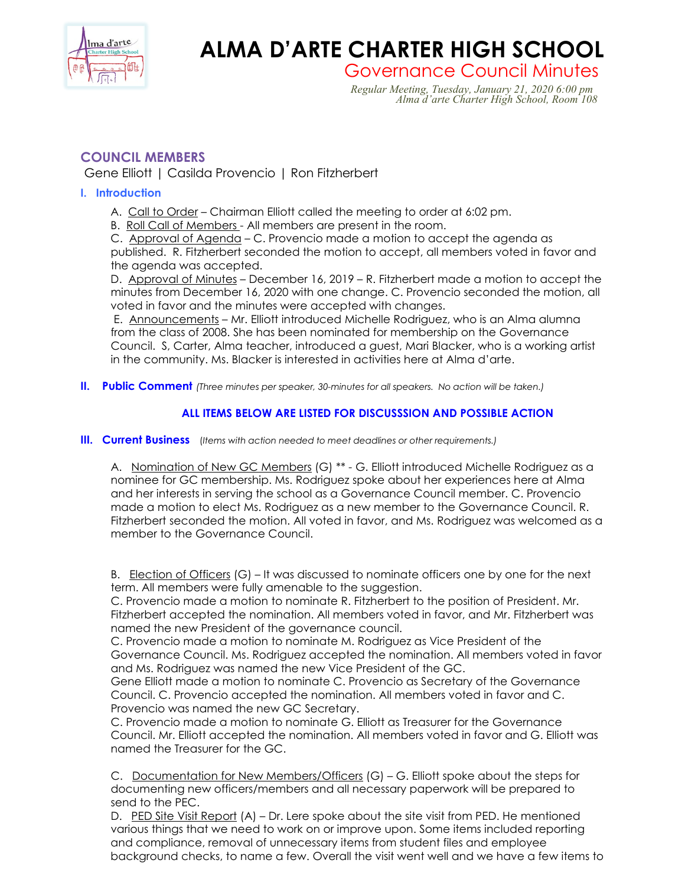

# **ALMA D'ARTE CHARTER HIGH SCHOOL**<br>Governance Council Minutes

Governance Council Minutes *Regular Meeting, Tuesday, January 21, 2020 6:00 pm Alma d'arte Charter High School, Room 108*

# **COUNCIL MEMBERS**

Gene Elliott | Casilda Provencio | Ron Fitzherbert

### **I. Introduction**

- A. Call to Order Chairman Elliott called the meeting to order at 6:02 pm.
- B. Roll Call of Members All members are present in the room.

C. Approval of Agenda – C. Provencio made a motion to accept the agenda as published. R. Fitzherbert seconded the motion to accept, all members voted in favor and the agenda was accepted.

D. Approval of Minutes – December 16, 2019 – R. Fitzherbert made a motion to accept the minutes from December 16, 2020 with one change. C. Provencio seconded the motion, all voted in favor and the minutes were accepted with changes.

E. Announcements – Mr. Elliott introduced Michelle Rodriguez, who is an Alma alumna from the class of 2008. She has been nominated for membership on the Governance Council. S, Carter, Alma teacher, introduced a guest, Mari Blacker, who is a working artist in the community. Ms. Blacker is interested in activities here at Alma d'arte.

**II. Public Comment** *(Three minutes per speaker, 30-minutes for all speakers. No action will be taken.)*

## **ALL ITEMS BELOW ARE LISTED FOR DISCUSSSION AND POSSIBLE ACTION**

**III. Current Business** (*Items with action needed to meet deadlines or other requirements.)*

A. Nomination of New GC Members (G) \*\* - G. Elliott introduced Michelle Rodriguez as a nominee for GC membership. Ms. Rodriguez spoke about her experiences here at Alma and her interests in serving the school as a Governance Council member. C. Provencio made a motion to elect Ms. Rodriguez as a new member to the Governance Council. R. Fitzherbert seconded the motion. All voted in favor, and Ms. Rodriguez was welcomed as a member to the Governance Council.

B. Election of Officers (G) – It was discussed to nominate officers one by one for the next term. All members were fully amenable to the suggestion.

C. Provencio made a motion to nominate R. Fitzherbert to the position of President. Mr. Fitzherbert accepted the nomination. All members voted in favor, and Mr. Fitzherbert was named the new President of the governance council.

C. Provencio made a motion to nominate M. Rodriguez as Vice President of the Governance Council. Ms. Rodriguez accepted the nomination. All members voted in favor and Ms. Rodriguez was named the new Vice President of the GC.

Gene Elliott made a motion to nominate C. Provencio as Secretary of the Governance Council. C. Provencio accepted the nomination. All members voted in favor and C. Provencio was named the new GC Secretary.

C. Provencio made a motion to nominate G. Elliott as Treasurer for the Governance Council. Mr. Elliott accepted the nomination. All members voted in favor and G. Elliott was named the Treasurer for the GC.

C. Documentation for New Members/Officers (G) – G. Elliott spoke about the steps for documenting new officers/members and all necessary paperwork will be prepared to send to the PEC.

D. PED Site Visit Report (A) - Dr. Lere spoke about the site visit from PED. He mentioned various things that we need to work on or improve upon. Some items included reporting and compliance, removal of unnecessary items from student files and employee background checks, to name a few. Overall the visit went well and we have a few items to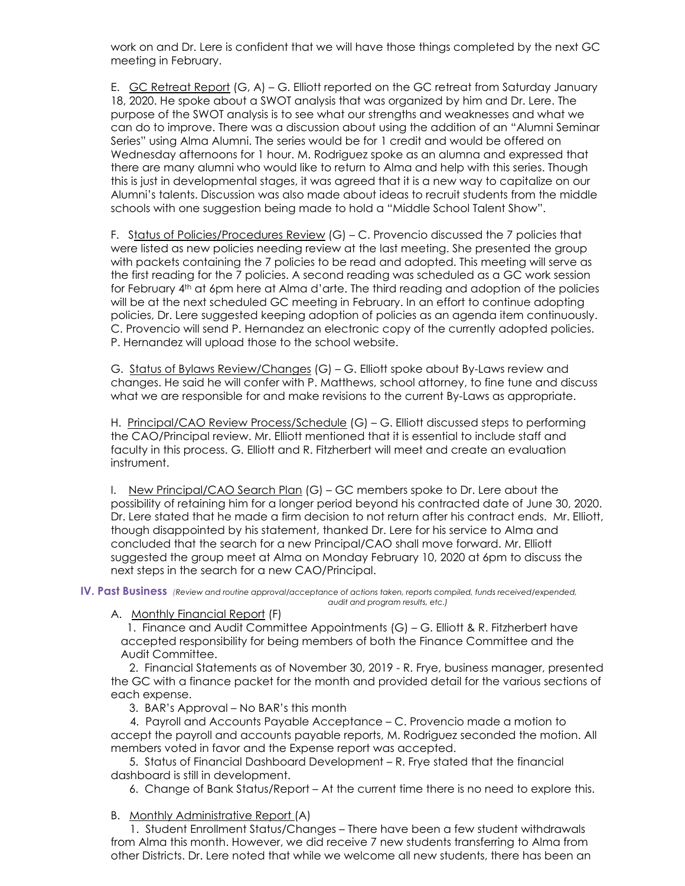work on and Dr. Lere is confident that we will have those things completed by the next GC meeting in February.

E. GC Retreat Report (G, A) – G. Elliott reported on the GC retreat from Saturday January 18, 2020. He spoke about a SWOT analysis that was organized by him and Dr. Lere. The purpose of the SWOT analysis is to see what our strengths and weaknesses and what we can do to improve. There was a discussion about using the addition of an "Alumni Seminar Series" using Alma Alumni. The series would be for 1 credit and would be offered on Wednesday afternoons for 1 hour. M. Rodriguez spoke as an alumna and expressed that there are many alumni who would like to return to Alma and help with this series. Though this is just in developmental stages, it was agreed that it is a new way to capitalize on our Alumni's talents. Discussion was also made about ideas to recruit students from the middle schools with one suggestion being made to hold a "Middle School Talent Show".

F. Status of Policies/Procedures Review (G) – C. Provencio discussed the 7 policies that were listed as new policies needing review at the last meeting. She presented the group with packets containing the 7 policies to be read and adopted. This meeting will serve as the first reading for the 7 policies. A second reading was scheduled as a GC work session for February 4th at 6pm here at Alma d'arte. The third reading and adoption of the policies will be at the next scheduled GC meeting in February. In an effort to continue adopting policies, Dr. Lere suggested keeping adoption of policies as an agenda item continuously. C. Provencio will send P. Hernandez an electronic copy of the currently adopted policies. P. Hernandez will upload those to the school website.

G. Status of Bylaws Review/Changes (G) – G. Elliott spoke about By-Laws review and changes. He said he will confer with P. Matthews, school attorney, to fine tune and discuss what we are responsible for and make revisions to the current By-Laws as appropriate.

H. Principal/CAO Review Process/Schedule (G) - G. Elliott discussed steps to performing the CAO/Principal review. Mr. Elliott mentioned that it is essential to include staff and faculty in this process. G. Elliott and R. Fitzherbert will meet and create an evaluation instrument.

I. New Principal/CAO Search Plan (G) – GC members spoke to Dr. Lere about the possibility of retaining him for a longer period beyond his contracted date of June 30, 2020. Dr. Lere stated that he made a firm decision to not return after his contract ends. Mr. Elliott, though disappointed by his statement, thanked Dr. Lere for his service to Alma and concluded that the search for a new Principal/CAO shall move forward. Mr. Elliott suggested the group meet at Alma on Monday February 10, 2020 at 6pm to discuss the next steps in the search for a new CAO/Principal.

**IV. Past Business** *(Review and routine approval/acceptance of actions taken, reports compiled, funds received/expended, audit and program results, etc.)*

#### A. Monthly Financial Report (F)

1. Finance and Audit Committee Appointments (G) - G. Elliott & R. Fitzherbert have accepted responsibility for being members of both the Finance Committee and the Audit Committee.

 2. Financial Statements as of November 30, 2019 - R. Frye, business manager, presented the GC with a finance packet for the month and provided detail for the various sections of each expense.

3. BAR's Approval – No BAR's this month

 4. Payroll and Accounts Payable Acceptance – C. Provencio made a motion to accept the payroll and accounts payable reports, M. Rodriguez seconded the motion. All members voted in favor and the Expense report was accepted.

 5. Status of Financial Dashboard Development – R. Frye stated that the financial dashboard is still in development.

6. Change of Bank Status/Report – At the current time there is no need to explore this.

B. Monthly Administrative Report (A)

 1. Student Enrollment Status/Changes – There have been a few student withdrawals from Alma this month. However, we did receive 7 new students transferring to Alma from other Districts. Dr. Lere noted that while we welcome all new students, there has been an